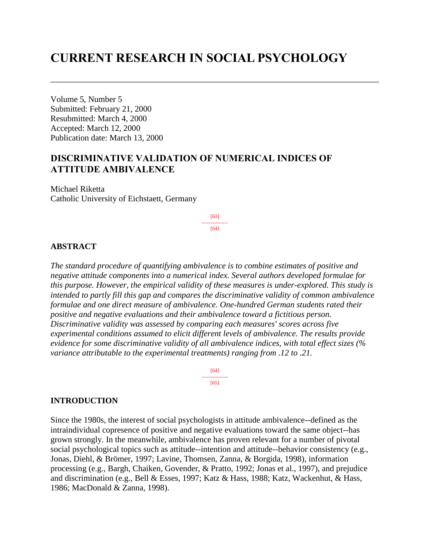# **CURRENT RESEARCH IN SOCIAL PSYCHOLOGY**

Volume 5, Number 5 Submitted: February 21, 2000 Resubmitted: March 4, 2000 Accepted: March 12, 2000 Publication date: March 13, 2000

# **DISCRIMINATIVE VALIDATION OF NUMERICAL INDICES OF ATTITUDE AMBIVALENCE**

Michael Riketta Catholic University of Eichstaett, Germany

> [63] --------------- [64]

### **ABSTRACT**

*The standard procedure of quantifying ambivalence is to combine estimates of positive and negative attitude components into a numerical index. Several authors developed formulae for this purpose. However, the empirical validity of these measures is under-explored. This study is intended to partly fill this gap and compares the discriminative validity of common ambivalence formulae and one direct measure of ambivalence. One-hundred German students rated their positive and negative evaluations and their ambivalence toward a fictitious person. Discriminative validity was assessed by comparing each measures' scores across five experimental conditions assumed to elicit different levels of ambivalence. The results provide evidence for some discriminative validity of all ambivalence indices, with total effect sizes (% variance attributable to the experimental treatments) ranging from .12 to .21.*

> [64] ---------------  $[65]$

### **INTRODUCTION**

Since the 1980s, the interest of social psychologists in attitude ambivalence--defined as the intraindividual copresence of positive and negative evaluations toward the same object--has grown strongly. In the meanwhile, ambivalence has proven relevant for a number of pivotal social psychological topics such as attitude--intention and attitude--behavior consistency (e.g., Jonas, Diehl, & Brömer, 1997; Lavine, Thomsen, Zanna, & Borgida, 1998), information processing (e.g., Bargh, Chaiken, Govender, & Pratto, 1992; Jonas et al., 1997), and prejudice and discrimination (e.g., Bell & Esses, 1997; Katz & Hass, 1988; Katz, Wackenhut, & Hass, 1986; MacDonald & Zanna, 1998).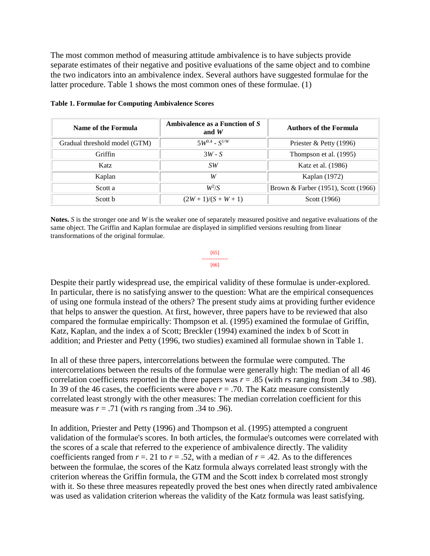The most common method of measuring attitude ambivalence is to have subjects provide separate estimates of their negative and positive evaluations of the same object and to combine the two indicators into an ambivalence index. Several authors have suggested formulae for the latter procedure. Table 1 shows the most common ones of these formulae. (1)

| Name of the Formula           | Ambivalence as a Function of S<br>and $W$ | <b>Authors of the Formula</b>       |
|-------------------------------|-------------------------------------------|-------------------------------------|
| Gradual threshold model (GTM) | $5W^{0.4} - S^{1/W}$                      | Priester & Petty (1996)             |
| Griffin                       | $3W-S$                                    | Thompson et al. (1995)              |
| Katz                          | SW.                                       | Katz et al. (1986)                  |
| Kaplan                        | W                                         | Kaplan (1972)                       |
| Scott a                       | $W^2/S$                                   | Brown & Farber (1951), Scott (1966) |
| Scott b                       | $(2W+1)/(S+W+1)$                          | Scott (1966)                        |

### **Table 1. Formulae for Computing Ambivalence Scores**

**Notes.** *S* is the stronger one and *W* is the weaker one of separately measured positive and negative evaluations of the same object. The Griffin and Kaplan formulae are displayed in simplified versions resulting from linear transformations of the original formulae.

> [65] --------------- [66]

Despite their partly widespread use, the empirical validity of these formulae is under-explored. In particular, there is no satisfying answer to the question: What are the empirical consequences of using one formula instead of the others? The present study aims at providing further evidence that helps to answer the question. At first, however, three papers have to be reviewed that also compared the formulae empirically: Thompson et al. (1995) examined the formulae of Griffin, Katz, Kaplan, and the index a of Scott; Breckler (1994) examined the index b of Scott in addition; and Priester and Petty (1996, two studies) examined all formulae shown in Table 1.

In all of these three papers, intercorrelations between the formulae were computed. The intercorrelations between the results of the formulae were generally high: The median of all 46 correlation coefficients reported in the three papers was  $r = .85$  (with  $r_s$  ranging from .34 to .98). In 39 of the 46 cases, the coefficients were above  $r = .70$ . The Katz measure consistently correlated least strongly with the other measures: The median correlation coefficient for this measure was  $r = .71$  (with *rs* ranging from .34 to .96).

In addition, Priester and Petty (1996) and Thompson et al. (1995) attempted a congruent validation of the formulae's scores. In both articles, the formulae's outcomes were correlated with the scores of a scale that referred to the experience of ambivalence directly. The validity coefficients ranged from  $r = 0.21$  to  $r = 0.52$ , with a median of  $r = 0.42$ . As to the differences between the formulae, the scores of the Katz formula always correlated least strongly with the criterion whereas the Griffin formula, the GTM and the Scott index b correlated most strongly with it. So these three measures repeatedly proved the best ones when directly rated ambivalence was used as validation criterion whereas the validity of the Katz formula was least satisfying.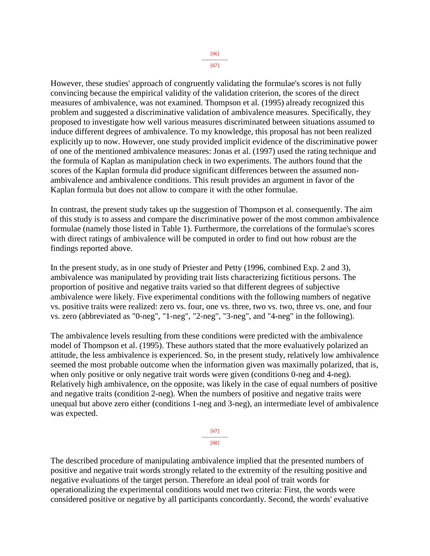However, these studies' approach of congruently validating the formulae's scores is not fully convincing because the empirical validity of the validation criterion, the scores of the direct measures of ambivalence, was not examined. Thompson et al. (1995) already recognized this problem and suggested a discriminative validation of ambivalence measures. Specifically, they proposed to investigate how well various measures discriminated between situations assumed to induce different degrees of ambivalence. To my knowledge, this proposal has not been realized explicitly up to now. However, one study provided implicit evidence of the discriminative power of one of the mentioned ambivalence measures: Jonas et al. (1997) used the rating technique and the formula of Kaplan as manipulation check in two experiments. The authors found that the scores of the Kaplan formula did produce significant differences between the assumed nonambivalence and ambivalence conditions. This result provides an argument in favor of the Kaplan formula but does not allow to compare it with the other formulae.

In contrast, the present study takes up the suggestion of Thompson et al. consequently. The aim of this study is to assess and compare the discriminative power of the most common ambivalence formulae (namely those listed in Table 1). Furthermore, the correlations of the formulae's scores with direct ratings of ambivalence will be computed in order to find out how robust are the findings reported above.

In the present study, as in one study of Priester and Petty (1996, combined Exp. 2 and 3), ambivalence was manipulated by providing trait lists characterizing fictitious persons. The proportion of positive and negative traits varied so that different degrees of subjective ambivalence were likely. Five experimental conditions with the following numbers of negative vs. positive traits were realized: zero vs. four, one vs. three, two vs. two, three vs. one, and four vs. zero (abbreviated as "0-neg", "1-neg", "2-neg", "3-neg", and "4-neg" in the following).

The ambivalence levels resulting from these conditions were predicted with the ambivalence model of Thompson et al. (1995). These authors stated that the more evaluatively polarized an attitude, the less ambivalence is experienced. So, in the present study, relatively low ambivalence seemed the most probable outcome when the information given was maximally polarized, that is, when only positive or only negative trait words were given (conditions 0-neg and 4-neg). Relatively high ambivalence, on the opposite, was likely in the case of equal numbers of positive and negative traits (condition 2-neg). When the numbers of positive and negative traits were unequal but above zero either (conditions 1-neg and 3-neg), an intermediate level of ambivalence was expected.



The described procedure of manipulating ambivalence implied that the presented numbers of positive and negative trait words strongly related to the extremity of the resulting positive and negative evaluations of the target person. Therefore an ideal pool of trait words for operationalizing the experimental conditions would met two criteria: First, the words were considered positive or negative by all participants concordantly. Second, the words' evaluative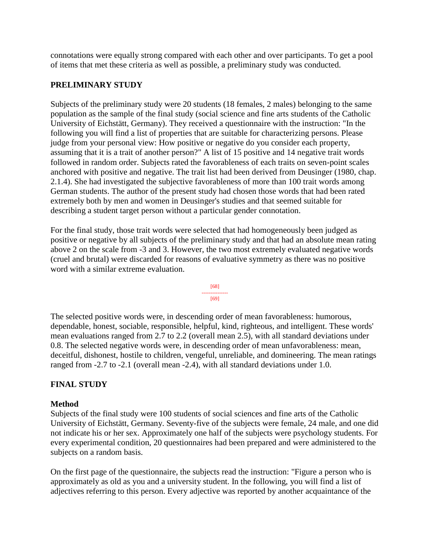connotations were equally strong compared with each other and over participants. To get a pool of items that met these criteria as well as possible, a preliminary study was conducted.

## **PRELIMINARY STUDY**

Subjects of the preliminary study were 20 students (18 females, 2 males) belonging to the same population as the sample of the final study (social science and fine arts students of the Catholic University of Eichstätt, Germany). They received a questionnaire with the instruction: "In the following you will find a list of properties that are suitable for characterizing persons. Please judge from your personal view: How positive or negative do you consider each property, assuming that it is a trait of another person?" A list of 15 positive and 14 negative trait words followed in random order. Subjects rated the favorableness of each traits on seven-point scales anchored with positive and negative. The trait list had been derived from Deusinger (1980, chap. 2.1.4). She had investigated the subjective favorableness of more than 100 trait words among German students. The author of the present study had chosen those words that had been rated extremely both by men and women in Deusinger's studies and that seemed suitable for describing a student target person without a particular gender connotation.

For the final study, those trait words were selected that had homogeneously been judged as positive or negative by all subjects of the preliminary study and that had an absolute mean rating above 2 on the scale from -3 and 3. However, the two most extremely evaluated negative words (cruel and brutal) were discarded for reasons of evaluative symmetry as there was no positive word with a similar extreme evaluation.

[68] --------------- [69]

The selected positive words were, in descending order of mean favorableness: humorous, dependable, honest, sociable, responsible, helpful, kind, righteous, and intelligent. These words' mean evaluations ranged from 2.7 to 2.2 (overall mean 2.5), with all standard deviations under 0.8. The selected negative words were, in descending order of mean unfavorableness: mean, deceitful, dishonest, hostile to children, vengeful, unreliable, and domineering. The mean ratings ranged from -2.7 to -2.1 (overall mean -2.4), with all standard deviations under 1.0.

# **FINAL STUDY**

### **Method**

Subjects of the final study were 100 students of social sciences and fine arts of the Catholic University of Eichstätt, Germany. Seventy-five of the subjects were female, 24 male, and one did not indicate his or her sex. Approximately one half of the subjects were psychology students. For every experimental condition, 20 questionnaires had been prepared and were administered to the subjects on a random basis.

On the first page of the questionnaire, the subjects read the instruction: "Figure a person who is approximately as old as you and a university student. In the following, you will find a list of adjectives referring to this person. Every adjective was reported by another acquaintance of the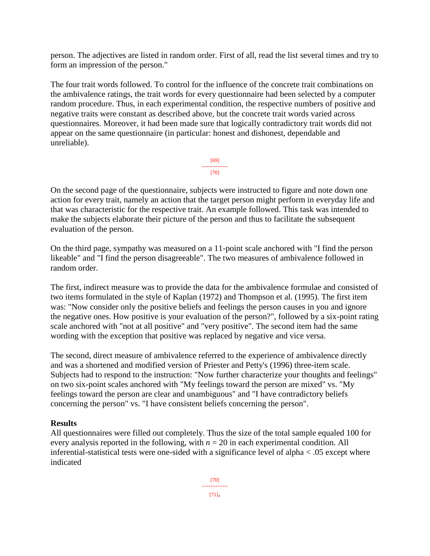person. The adjectives are listed in random order. First of all, read the list several times and try to form an impression of the person."

The four trait words followed. To control for the influence of the concrete trait combinations on the ambivalence ratings, the trait words for every questionnaire had been selected by a computer random procedure. Thus, in each experimental condition, the respective numbers of positive and negative traits were constant as described above, but the concrete trait words varied across questionnaires. Moreover, it had been made sure that logically contradictory trait words did not appear on the same questionnaire (in particular: honest and dishonest, dependable and unreliable).

> [69] --------------- [70]

On the second page of the questionnaire, subjects were instructed to figure and note down one action for every trait, namely an action that the target person might perform in everyday life and that was characteristic for the respective trait. An example followed. This task was intended to make the subjects elaborate their picture of the person and thus to facilitate the subsequent evaluation of the person.

On the third page, sympathy was measured on a 11-point scale anchored with "I find the person likeable" and "I find the person disagreeable". The two measures of ambivalence followed in random order.

The first, indirect measure was to provide the data for the ambivalence formulae and consisted of two items formulated in the style of Kaplan (1972) and Thompson et al. (1995). The first item was: "Now consider only the positive beliefs and feelings the person causes in you and ignore the negative ones. How positive is your evaluation of the person?", followed by a six-point rating scale anchored with "not at all positive" and "very positive". The second item had the same wording with the exception that positive was replaced by negative and vice versa.

The second, direct measure of ambivalence referred to the experience of ambivalence directly and was a shortened and modified version of Priester and Petty's (1996) three-item scale. Subjects had to respond to the instruction: "Now further characterize your thoughts and feelings" on two six-point scales anchored with "My feelings toward the person are mixed" vs. "My feelings toward the person are clear and unambiguous" and "I have contradictory beliefs concerning the person" vs. "I have consistent beliefs concerning the person".

### **Results**

All questionnaires were filled out completely. Thus the size of the total sample equaled 100 for every analysis reported in the following, with  $n = 20$  in each experimental condition. All inferential-statistical tests were one-sided with a significance level of alpha < .05 except where indicated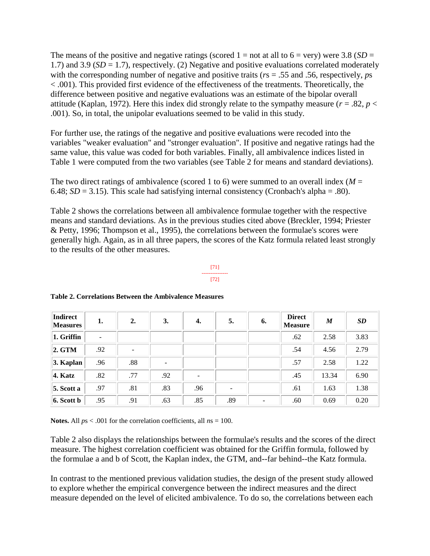The means of the positive and negative ratings (scored  $1 =$  not at all to  $6 =$  very) were 3.8 (*SD* = 1.7) and 3.9 (*SD* = 1.7), respectively. (2) Negative and positive evaluations correlated moderately with the corresponding number of negative and positive traits (*r*s = .55 and .56, respectively, *p*s < .001). This provided first evidence of the effectiveness of the treatments. Theoretically, the difference between positive and negative evaluations was an estimate of the bipolar overall attitude (Kaplan, 1972). Here this index did strongly relate to the sympathy measure ( $r = .82$ ,  $p <$ .001). So, in total, the unipolar evaluations seemed to be valid in this study.

For further use, the ratings of the negative and positive evaluations were recoded into the variables "weaker evaluation" and "stronger evaluation". If positive and negative ratings had the same value, this value was coded for both variables. Finally, all ambivalence indices listed in Table 1 were computed from the two variables (see Table 2 for means and standard deviations).

The two direct ratings of ambivalence (scored 1 to 6) were summed to an overall index ( $M =$ 6.48;  $SD = 3.15$ ). This scale had satisfying internal consistency (Cronbach's alpha = .80).

Table 2 shows the correlations between all ambivalence formulae together with the respective means and standard deviations. As in the previous studies cited above (Breckler, 1994; Priester & Petty, 1996; Thompson et al., 1995), the correlations between the formulae's scores were generally high. Again, as in all three papers, the scores of the Katz formula related least strongly to the results of the other measures.

#### [71] --------------- [72]

| <b>Indirect</b><br><b>Measures</b> | 1.                       | 2.  | 3.                       | 4.                       | 5.  | 6. | <b>Direct</b><br><b>Measure</b> | $\boldsymbol{M}$ | <b>SD</b> |
|------------------------------------|--------------------------|-----|--------------------------|--------------------------|-----|----|---------------------------------|------------------|-----------|
| $ 1. G$ riffin                     | $\overline{\phantom{a}}$ |     |                          |                          |     |    | .62                             | 2.58             | 3.83      |
| 2. GTM                             | .92                      |     |                          |                          |     |    | .54                             | 4.56             | 2.79      |
| $3.$ Kaplan                        | .96                      | .88 | $\overline{\phantom{a}}$ |                          |     |    | .57                             | 2.58             | 1.22      |
| 4. Katz                            | .82                      | .77 | .92                      | $\overline{\phantom{a}}$ |     |    | .45                             | 13.34            | 6.90      |
| $5.$ Scott a                       | .97                      | .81 | .83                      | .96                      |     |    | .61                             | 1.63             | 1.38      |
| $6.$ Scott b                       | .95                      | .91 | .63                      | .85                      | .89 | -  | .60                             | 0.69             | 0.20      |

### **Table 2. Correlations Between the Ambivalence Measures**

**Notes.** All *p*s < .001 for the correlation coefficients, all *n*s = 100.

Table 2 also displays the relationships between the formulae's results and the scores of the direct measure. The highest correlation coefficient was obtained for the Griffin formula, followed by the formulae a and b of Scott, the Kaplan index, the GTM, and--far behind--the Katz formula.

In contrast to the mentioned previous validation studies, the design of the present study allowed to explore whether the empirical convergence between the indirect measures and the direct measure depended on the level of elicited ambivalence. To do so, the correlations between each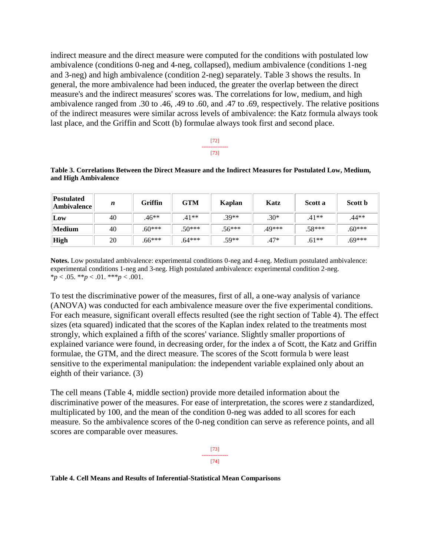indirect measure and the direct measure were computed for the conditions with postulated low ambivalence (conditions 0-neg and 4-neg, collapsed), medium ambivalence (conditions 1-neg and 3-neg) and high ambivalence (condition 2-neg) separately. Table 3 shows the results. In general, the more ambivalence had been induced, the greater the overlap between the direct measure's and the indirect measures' scores was. The correlations for low, medium, and high ambivalence ranged from .30 to .46, .49 to .60, and .47 to .69, respectively. The relative positions of the indirect measures were similar across levels of ambivalence: the Katz formula always took last place, and the Griffin and Scott (b) formulae always took first and second place.

#### [72] --------------- [73]

**Table 3. Correlations Between the Direct Measure and the Indirect Measures for Postulated Low, Medium, and High Ambivalence**

| <b>Postulated</b><br><b>Ambivalence</b> | n  | <b>Griffin</b> | <b>GTM</b> | Kaplan   | Katz   | Scott a  | Scott b  |
|-----------------------------------------|----|----------------|------------|----------|--------|----------|----------|
| Low                                     | 40 | $.46**$        | $.41**$    | $.39**$  | $.30*$ | $.41**$  | .44**    |
| Medium                                  | 40 | $.60***$       | $.50***$   | $.56***$ | .49*** | $.58***$ | $.60***$ |
| <b>High</b>                             | 20 | $.66***$       | $.64***$   | $.59**$  | $.47*$ | $.61**$  | $.69***$ |

**Notes.** Low postulated ambivalence: experimental conditions 0-neg and 4-neg. Medium postulated ambivalence: experimental conditions 1-neg and 3-neg. High postulated ambivalence: experimental condition 2-neg. \**p* < .05. \*\**p* < .01. \*\*\**p* < .001.

To test the discriminative power of the measures, first of all, a one-way analysis of variance (ANOVA) was conducted for each ambivalence measure over the five experimental conditions. For each measure, significant overall effects resulted (see the right section of Table 4). The effect sizes (eta squared) indicated that the scores of the Kaplan index related to the treatments most strongly, which explained a fifth of the scores' variance. Slightly smaller proportions of explained variance were found, in decreasing order, for the index a of Scott, the Katz and Griffin formulae, the GTM, and the direct measure. The scores of the Scott formula b were least sensitive to the experimental manipulation: the independent variable explained only about an eighth of their variance. (3)

The cell means (Table 4, middle section) provide more detailed information about the discriminative power of the measures. For ease of interpretation, the scores were *z* standardized, multiplicated by 100, and the mean of the condition 0-neg was added to all scores for each measure. So the ambivalence scores of the 0-neg condition can serve as reference points, and all scores are comparable over measures.



### **Table 4. Cell Means and Results of Inferential-Statistical Mean Comparisons**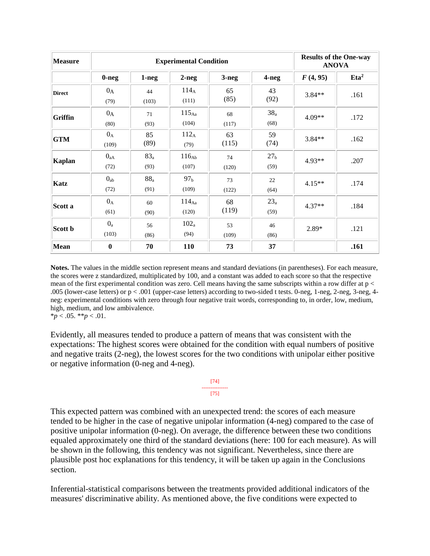| <b>Measure</b> |                         | <b>Experimental Condition</b> | <b>Results of the One-way</b><br><b>ANOVA</b> |             |                         |          |                  |
|----------------|-------------------------|-------------------------------|-----------------------------------------------|-------------|-------------------------|----------|------------------|
|                | $0-neg$                 | $1-neg$                       | $2-neg$                                       | $3-neg$     | 4-neg                   | F(4, 95) | Eta <sup>2</sup> |
| <b>Direct</b>  | $0_A$<br>(79)           | 44<br>(103)                   | $114_A$<br>(111)                              | 65<br>(85)  | 43<br>(92)              | $3.84**$ | .161             |
| Griffin        | $0_A$<br>(80)           | 71<br>(93)                    | $115_{\text{Aa}}$<br>(104)                    | 68<br>(117) | $38_a$<br>(68)          | $4.09**$ | .172             |
| <b>GTM</b>     | $0_A$<br>(109)          | 85<br>(89)                    | $112_A$<br>(79)                               | 63<br>(115) | 59<br>(74)              | $3.84**$ | .162             |
| <b>Kaplan</b>  | $0_{aA}$<br>(72)        | $83_a$<br>(93)                | $116_{Ab}$<br>(107)                           | 74<br>(120) | 27 <sub>b</sub><br>(59) | $4.93**$ | .207             |
| Katz           | $0_{ab}$<br>(72)        | $88_a$<br>(91)                | 97 <sub>b</sub><br>(109)                      | 73<br>(122) | 22<br>(64)              | $4.15**$ | .174             |
| Scott a        | $0_A$<br>(61)           | 60<br>(90)                    | $114_{\text{Aa}}$<br>(120)                    | 68<br>(119) | $23_a$<br>(59)          | $4.37**$ | .184             |
| Scott b        | 0 <sub>a</sub><br>(103) | 56<br>(86)                    | 102 <sub>a</sub><br>(94)                      | 53<br>(109) | 46<br>(86)              | $2.89*$  | .121             |
| Mean           | $\bf{0}$                | 70                            | 110                                           | 73          | 37                      |          | .161             |

**Notes.** The values in the middle section represent means and standard deviations (in parentheses). For each measure, the scores were z standardized, multiplicated by 100, and a constant was added to each score so that the respective mean of the first experimental condition was zero. Cell means having the same subscripts within a row differ at p < .005 (lower-case letters) or p < .001 (upper-case letters) according to two-sided t tests. 0-neg, 1-neg, 2-neg, 3-neg, 4 neg: experimental conditions with zero through four negative trait words, corresponding to, in order, low, medium, high, medium, and low ambivalence.

 $**p* < .05. ***p* < .01.$ 

Evidently, all measures tended to produce a pattern of means that was consistent with the expectations: The highest scores were obtained for the condition with equal numbers of positive and negative traits (2-neg), the lowest scores for the two conditions with unipolar either positive or negative information (0-neg and 4-neg).



This expected pattern was combined with an unexpected trend: the scores of each measure tended to be higher in the case of negative unipolar information (4-neg) compared to the case of positive unipolar information (0-neg). On average, the difference between these two conditions equaled approximately one third of the standard deviations (here: 100 for each measure). As will be shown in the following, this tendency was not significant. Nevertheless, since there are plausible post hoc explanations for this tendency, it will be taken up again in the Conclusions section.

Inferential-statistical comparisons between the treatments provided additional indicators of the measures' discriminative ability. As mentioned above, the five conditions were expected to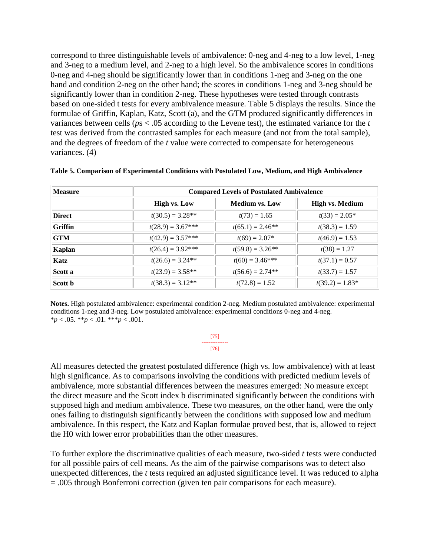correspond to three distinguishable levels of ambivalence: 0-neg and 4-neg to a low level, 1-neg and 3-neg to a medium level, and 2-neg to a high level. So the ambivalence scores in conditions 0-neg and 4-neg should be significantly lower than in conditions 1-neg and 3-neg on the one hand and condition 2-neg on the other hand; the scores in conditions 1-neg and 3-neg should be significantly lower than in condition 2-neg. These hypotheses were tested through contrasts based on one-sided t tests for every ambivalence measure. Table 5 displays the results. Since the formulae of Griffin, Kaplan, Katz, Scott (a), and the GTM produced significantly differences in variances between cells (*p*s < .05 according to the Levene test), the estimated variance for the *t* test was derived from the contrasted samples for each measure (and not from the total sample), and the degrees of freedom of the *t* value were corrected to compensate for heterogeneous variances. (4)

| <b>Measure</b> | <b>Compared Levels of Postulated Ambivalence</b> |                       |                        |  |  |  |  |
|----------------|--------------------------------------------------|-----------------------|------------------------|--|--|--|--|
|                | <b>High vs. Low</b>                              | <b>Medium vs. Low</b> | <b>High vs. Medium</b> |  |  |  |  |
| <b>Direct</b>  | $t(30.5) = 3.28**$                               | $t(73) = 1.65$        | $t(33) = 2.05*$        |  |  |  |  |
| Griffin        | $t(28.9) = 3.67***$                              | $t(65.1) = 2.46**$    | $t(38.3) = 1.59$       |  |  |  |  |
| <b>GTM</b>     | $t(42.9) = 3.57***$                              | $t(69) = 2.07*$       | $t(46.9) = 1.53$       |  |  |  |  |
| Kaplan         | $t(26.4) = 3.92***$                              | $t(59.8) = 3.26**$    | $t(38) = 1.27$         |  |  |  |  |
| Katz           | $t(26.6) = 3.24**$                               | $t(60) = 3.46$ ***    | $t(37.1) = 0.57$       |  |  |  |  |
| Scott a        | $t(23.9) = 3.58**$                               | $t(56.6) = 2.74**$    | $t(33.7) = 1.57$       |  |  |  |  |
| Scott b        | $t(38.3) = 3.12**$                               | $t(72.8) = 1.52$      | $t(39.2) = 1.83*$      |  |  |  |  |

**Table 5. Comparison of Experimental Conditions with Postulated Low, Medium, and High Ambivalence**

**Notes.** High postulated ambivalence: experimental condition 2-neg. Medium postulated ambivalence: experimental conditions 1-neg and 3-neg. Low postulated ambivalence: experimental conditions 0-neg and 4-neg. \**p* < .05. \*\**p* < .01. \*\*\**p* < .001.

> [75] --------------- [76]

All measures detected the greatest postulated difference (high vs. low ambivalence) with at least high significance. As to comparisons involving the conditions with predicted medium levels of ambivalence, more substantial differences between the measures emerged: No measure except the direct measure and the Scott index b discriminated significantly between the conditions with supposed high and medium ambivalence. These two measures, on the other hand, were the only ones failing to distinguish significantly between the conditions with supposed low and medium ambivalence. In this respect, the Katz and Kaplan formulae proved best, that is, allowed to reject the H0 with lower error probabilities than the other measures.

To further explore the discriminative qualities of each measure, two-sided *t* tests were conducted for all possible pairs of cell means. As the aim of the pairwise comparisons was to detect also unexpected differences, the *t* tests required an adjusted significance level. It was reduced to alpha = .005 through Bonferroni correction (given ten pair comparisons for each measure).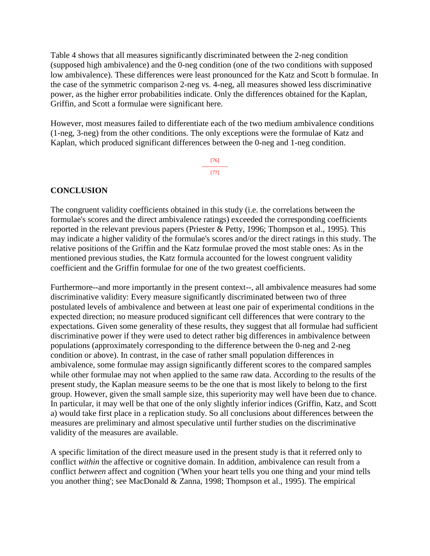Table 4 shows that all measures significantly discriminated between the 2-neg condition (supposed high ambivalence) and the 0-neg condition (one of the two conditions with supposed low ambivalence). These differences were least pronounced for the Katz and Scott b formulae. In the case of the symmetric comparison 2-neg vs. 4-neg, all measures showed less discriminative power, as the higher error probabilities indicate. Only the differences obtained for the Kaplan, Griffin, and Scott a formulae were significant here.

However, most measures failed to differentiate each of the two medium ambivalence conditions (1-neg, 3-neg) from the other conditions. The only exceptions were the formulae of Katz and Kaplan, which produced significant differences between the 0-neg and 1-neg condition.

> [76] --------------- [77]

### **CONCLUSION**

The congruent validity coefficients obtained in this study (i.e. the correlations between the formulae's scores and the direct ambivalence ratings) exceeded the corresponding coefficients reported in the relevant previous papers (Priester & Petty, 1996; Thompson et al., 1995). This may indicate a higher validity of the formulae's scores and/or the direct ratings in this study. The relative positions of the Griffin and the Katz formulae proved the most stable ones: As in the mentioned previous studies, the Katz formula accounted for the lowest congruent validity coefficient and the Griffin formulae for one of the two greatest coefficients.

Furthermore--and more importantly in the present context--, all ambivalence measures had some discriminative validity: Every measure significantly discriminated between two of three postulated levels of ambivalence and between at least one pair of experimental conditions in the expected direction; no measure produced significant cell differences that were contrary to the expectations. Given some generality of these results, they suggest that all formulae had sufficient discriminative power if they were used to detect rather big differences in ambivalence between populations (approximately corresponding to the difference between the 0-neg and 2-neg condition or above). In contrast, in the case of rather small population differences in ambivalence, some formulae may assign significantly different scores to the compared samples while other formulae may not when applied to the same raw data. According to the results of the present study, the Kaplan measure seems to be the one that is most likely to belong to the first group. However, given the small sample size, this superiority may well have been due to chance. In particular, it may well be that one of the only slightly inferior indices (Griffin, Katz, and Scott a) would take first place in a replication study. So all conclusions about differences between the measures are preliminary and almost speculative until further studies on the discriminative validity of the measures are available.

A specific limitation of the direct measure used in the present study is that it referred only to conflict *within* the affective or cognitive domain. In addition, ambivalence can result from a conflict *between* affect and cognition ('When your heart tells you one thing and your mind tells you another thing'; see MacDonald & Zanna, 1998; Thompson et al., 1995). The empirical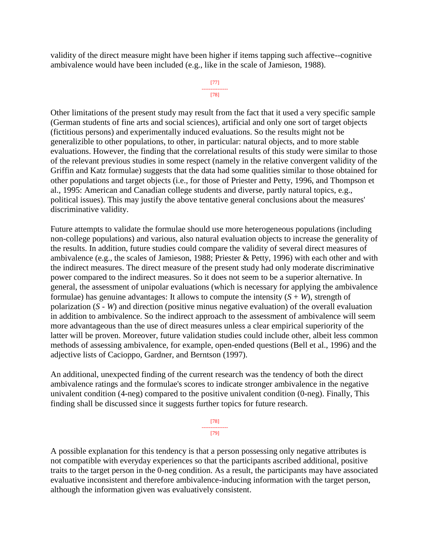validity of the direct measure might have been higher if items tapping such affective--cognitive ambivalence would have been included (e.g., like in the scale of Jamieson, 1988).

#### [77] --------------- [78]

Other limitations of the present study may result from the fact that it used a very specific sample (German students of fine arts and social sciences), artificial and only one sort of target objects (fictitious persons) and experimentally induced evaluations. So the results might not be generalizible to other populations, to other, in particular: natural objects, and to more stable evaluations. However, the finding that the correlational results of this study were similar to those of the relevant previous studies in some respect (namely in the relative convergent validity of the Griffin and Katz formulae) suggests that the data had some qualities similar to those obtained for other populations and target objects (i.e., for those of Priester and Petty, 1996, and Thompson et al., 1995: American and Canadian college students and diverse, partly natural topics, e.g., political issues). This may justify the above tentative general conclusions about the measures' discriminative validity.

Future attempts to validate the formulae should use more heterogeneous populations (including non-college populations) and various, also natural evaluation objects to increase the generality of the results. In addition, future studies could compare the validity of several direct measures of ambivalence (e.g., the scales of Jamieson, 1988; Priester & Petty, 1996) with each other and with the indirect measures. The direct measure of the present study had only moderate discriminative power compared to the indirect measures. So it does not seem to be a superior alternative. In general, the assessment of unipolar evaluations (which is necessary for applying the ambivalence formulae) has genuine advantages: It allows to compute the intensity  $(S+W)$ , strength of polarization (*S* - *W*) and direction (positive minus negative evaluation) of the overall evaluation in addition to ambivalence. So the indirect approach to the assessment of ambivalence will seem more advantageous than the use of direct measures unless a clear empirical superiority of the latter will be proven. Moreover, future validation studies could include other, albeit less common methods of assessing ambivalence, for example, open-ended questions (Bell et al., 1996) and the adjective lists of Cacioppo, Gardner, and Berntson (1997).

An additional, unexpected finding of the current research was the tendency of both the direct ambivalence ratings and the formulae's scores to indicate stronger ambivalence in the negative univalent condition (4-neg) compared to the positive univalent condition (0-neg). Finally, This finding shall be discussed since it suggests further topics for future research.

> [78] --------------- [79]

A possible explanation for this tendency is that a person possessing only negative attributes is not compatible with everyday experiences so that the participants ascribed additional, positive traits to the target person in the 0-neg condition. As a result, the participants may have associated evaluative inconsistent and therefore ambivalence-inducing information with the target person, although the information given was evaluatively consistent.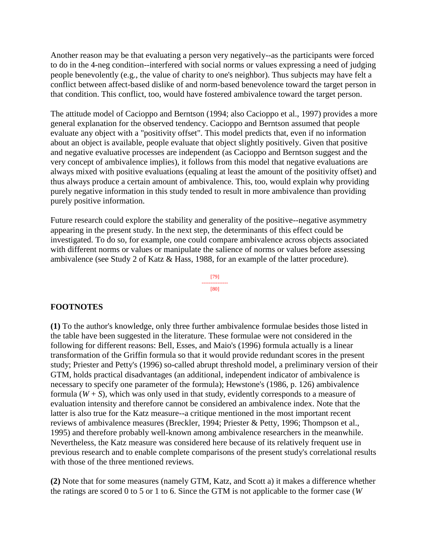Another reason may be that evaluating a person very negatively--as the participants were forced to do in the 4-neg condition--interfered with social norms or values expressing a need of judging people benevolently (e.g., the value of charity to one's neighbor). Thus subjects may have felt a conflict between affect-based dislike of and norm-based benevolence toward the target person in that condition. This conflict, too, would have fostered ambivalence toward the target person.

The attitude model of Cacioppo and Berntson (1994; also Cacioppo et al., 1997) provides a more general explanation for the observed tendency. Cacioppo and Berntson assumed that people evaluate any object with a "positivity offset". This model predicts that, even if no information about an object is available, people evaluate that object slightly positively. Given that positive and negative evaluative processes are independent (as Cacioppo and Berntson suggest and the very concept of ambivalence implies), it follows from this model that negative evaluations are always mixed with positive evaluations (equaling at least the amount of the positivity offset) and thus always produce a certain amount of ambivalence. This, too, would explain why providing purely negative information in this study tended to result in more ambivalence than providing purely positive information.

Future research could explore the stability and generality of the positive--negative asymmetry appearing in the present study. In the next step, the determinants of this effect could be investigated. To do so, for example, one could compare ambivalence across objects associated with different norms or values or manipulate the salience of norms or values before assessing ambivalence (see Study 2 of Katz & Hass, 1988, for an example of the latter procedure).

> [79] --------------- [80]

### **FOOTNOTES**

**(1)** To the author's knowledge, only three further ambivalence formulae besides those listed in the table have been suggested in the literature. These formulae were not considered in the following for different reasons: Bell, Esses, and Maio's (1996) formula actually is a linear transformation of the Griffin formula so that it would provide redundant scores in the present study; Priester and Petty's (1996) so-called abrupt threshold model, a preliminary version of their GTM, holds practical disadvantages (an additional, independent indicator of ambivalence is necessary to specify one parameter of the formula); Hewstone's (1986, p. 126) ambivalence formula  $(W + S)$ , which was only used in that study, evidently corresponds to a measure of evaluation intensity and therefore cannot be considered an ambivalence index. Note that the latter is also true for the Katz measure--a critique mentioned in the most important recent reviews of ambivalence measures (Breckler, 1994; Priester & Petty, 1996; Thompson et al., 1995) and therefore probably well-known among ambivalence researchers in the meanwhile. Nevertheless, the Katz measure was considered here because of its relatively frequent use in previous research and to enable complete comparisons of the present study's correlational results with those of the three mentioned reviews.

**(2)** Note that for some measures (namely GTM, Katz, and Scott a) it makes a difference whether the ratings are scored 0 to 5 or 1 to 6. Since the GTM is not applicable to the former case (*W*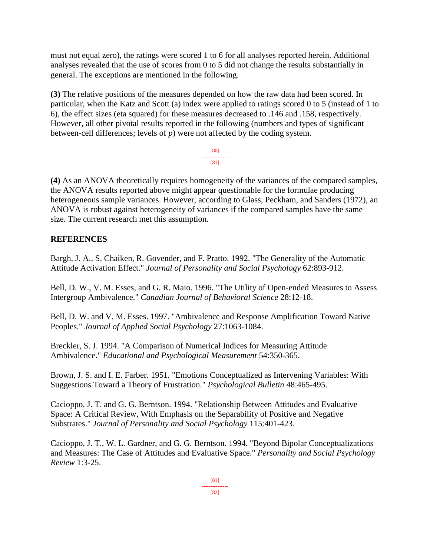must not equal zero), the ratings were scored 1 to 6 for all analyses reported herein. Additional analyses revealed that the use of scores from 0 to 5 did not change the results substantially in general. The exceptions are mentioned in the following.

**(3)** The relative positions of the measures depended on how the raw data had been scored. In particular, when the Katz and Scott (a) index were applied to ratings scored 0 to 5 (instead of 1 to 6), the effect sizes (eta squared) for these measures decreased to .146 and .158, respectively. However, all other pivotal results reported in the following (numbers and types of significant between-cell differences; levels of *p*) were not affected by the coding system.

> [80] --------------- [81]

**(4)** As an ANOVA theoretically requires homogeneity of the variances of the compared samples, the ANOVA results reported above might appear questionable for the formulae producing heterogeneous sample variances. However, according to Glass, Peckham, and Sanders (1972), an ANOVA is robust against heterogeneity of variances if the compared samples have the same size. The current research met this assumption.

# **REFERENCES**

Bargh, J. A., S. Chaiken, R. Govender, and F. Pratto. 1992. "The Generality of the Automatic Attitude Activation Effect." *Journal of Personality and Social Psychology* 62:893-912.

Bell, D. W., V. M. Esses, and G. R. Maio. 1996. "The Utility of Open-ended Measures to Assess Intergroup Ambivalence." *Canadian Journal of Behavioral Science* 28:12-18.

Bell, D. W. and V. M. Esses. 1997. "Ambivalence and Response Amplification Toward Native Peoples." *Journal of Applied Social Psychology* 27:1063-1084.

Breckler, S. J. 1994. "A Comparison of Numerical Indices for Measuring Attitude Ambivalence." *Educational and Psychological Measurement* 54:350-365.

Brown, J. S. and I. E. Farber. 1951. "Emotions Conceptualized as Intervening Variables: With Suggestions Toward a Theory of Frustration." *Psychological Bulletin* 48:465-495.

Cacioppo, J. T. and G. G. Berntson. 1994. "Relationship Between Attitudes and Evaluative Space: A Critical Review, With Emphasis on the Separability of Positive and Negative Substrates." *Journal of Personality and Social Psychology* 115:401-423.

Cacioppo, J. T., W. L. Gardner, and G. G. Berntson. 1994. "Beyond Bipolar Conceptualizations and Measures: The Case of Attitudes and Evaluative Space." *Personality and Social Psychology Review* 1:3-25.

<sup>[82]</sup>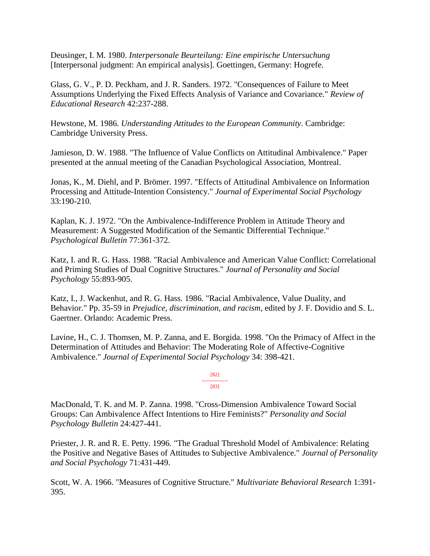Deusinger, I. M. 1980. *Interpersonale Beurteilung: Eine empirische Untersuchung*  [Interpersonal judgment: An empirical analysis]. Goettingen, Germany: Hogrefe.

Glass, G. V., P. D. Peckham, and J. R. Sanders. 1972. "Consequences of Failure to Meet Assumptions Underlying the Fixed Effects Analysis of Variance and Covariance." *Review of Educational Research* 42:237-288.

Hewstone, M. 1986. *Understanding Attitudes to the European Community*. Cambridge: Cambridge University Press.

Jamieson, D. W. 1988. "The Influence of Value Conflicts on Attitudinal Ambivalence." Paper presented at the annual meeting of the Canadian Psychological Association, Montreal.

Jonas, K., M. Diehl, and P. Brömer. 1997. "Effects of Attitudinal Ambivalence on Information Processing and Attitude-Intention Consistency." *Journal of Experimental Social Psychology*  33:190-210.

Kaplan, K. J. 1972. "On the Ambivalence-Indifference Problem in Attitude Theory and Measurement: A Suggested Modification of the Semantic Differential Technique." *Psychological Bulletin* 77:361-372.

Katz, I. and R. G. Hass. 1988. "Racial Ambivalence and American Value Conflict: Correlational and Priming Studies of Dual Cognitive Structures." *Journal of Personality and Social Psychology* 55:893-905.

Katz, I., J. Wackenhut, and R. G. Hass. 1986. "Racial Ambivalence, Value Duality, and Behavior." Pp. 35-59 in *Prejudice, discrimination, and racism*, edited by J. F. Dovidio and S. L. Gaertner. Orlando: Academic Press.

Lavine, H., C. J. Thomsen, M. P. Zanna, and E. Borgida. 1998. "On the Primacy of Affect in the Determination of Attitudes and Behavior: The Moderating Role of Affective-Cognitive Ambivalence." *Journal of Experimental Social Psychology* 34: 398-421.

> [82] --------------- [83]

MacDonald, T. K. and M. P. Zanna. 1998. "Cross-Dimension Ambivalence Toward Social Groups: Can Ambivalence Affect Intentions to Hire Feminists?" *Personality and Social Psychology Bulletin* 24:427-441.

Priester, J. R. and R. E. Petty. 1996. "The Gradual Threshold Model of Ambivalence: Relating the Positive and Negative Bases of Attitudes to Subjective Ambivalence." *Journal of Personality and Social Psychology* 71:431-449.

Scott, W. A. 1966. "Measures of Cognitive Structure." *Multivariate Behavioral Research* 1:391- 395.